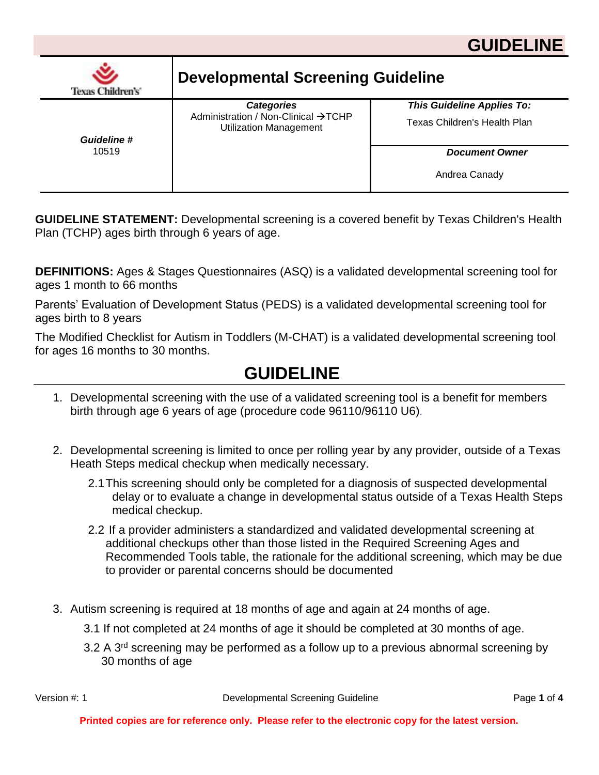

| <b>Texas Children's'</b>    | <b>Developmental Screening Guideline</b>                                                  |                                                                   |  |
|-----------------------------|-------------------------------------------------------------------------------------------|-------------------------------------------------------------------|--|
| <b>Guideline #</b><br>10519 | <b>Categories</b><br>Administration / Non-Clinical →TCHP<br><b>Utilization Management</b> | <b>This Guideline Applies To:</b><br>Texas Children's Health Plan |  |
|                             |                                                                                           | <b>Document Owner</b><br>Andrea Canady                            |  |

**GUIDELINE STATEMENT:** Developmental screening is a covered benefit by Texas Children's Health Plan (TCHP) ages birth through 6 years of age.

**DEFINITIONS:** Ages & Stages Questionnaires (ASQ) is a validated developmental screening tool for ages 1 month to 66 months

Parents' Evaluation of Development Status (PEDS) is a validated developmental screening tool for ages birth to 8 years

The Modified Checklist for Autism in Toddlers (M-CHAT) is a validated developmental screening tool for ages 16 months to 30 months.

# **GUIDELINE**

- 1. Developmental screening with the use of a validated screening tool is a benefit for members birth through age 6 years of age (procedure code 96110/96110 U6).
- 2. Developmental screening is limited to once per rolling year by any provider, outside of a Texas Heath Steps medical checkup when medically necessary.
	- 2.1This screening should only be completed for a diagnosis of suspected developmental delay or to evaluate a change in developmental status outside of a Texas Health Steps medical checkup.
	- 2.2 If a provider administers a standardized and validated developmental screening at additional checkups other than those listed in the Required Screening Ages and Recommended Tools table, the rationale for the additional screening, which may be due to provider or parental concerns should be documented
- 3. Autism screening is required at 18 months of age and again at 24 months of age.
	- 3.1 If not completed at 24 months of age it should be completed at 30 months of age.
	- 3.2 A 3<sup>rd</sup> screening may be performed as a follow up to a previous abnormal screening by 30 months of age

Version #: 1 Developmental Screening Guideline Page **1** of **4**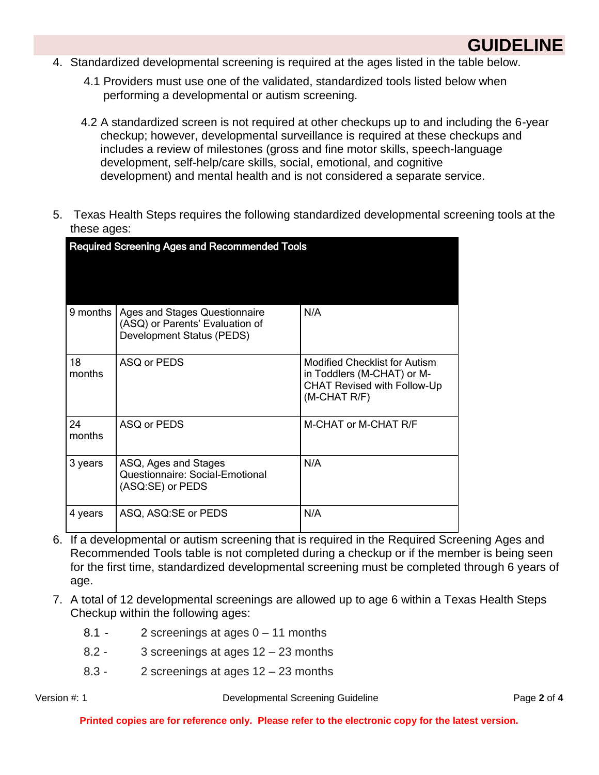

- 4. Standardized developmental screening is required at the ages listed in the table below.
	- 4.1 Providers must use one of the validated, standardized tools listed below when performing a developmental or autism screening.
	- 4.2 A standardized screen is not required at other checkups up to and including the 6-year checkup; however, developmental surveillance is required at these checkups and includes a review of milestones (gross and fine motor skills, speech-language development, self-help/care skills, social, emotional, and cognitive development) and mental health and is not considered a separate service.
- 5. Texas Health Steps requires the following standardized developmental screening tools at the these ages:

| <b>Required Screening Ages and Recommended Tools</b> |                                                                                                      |                                                                                                                          |  |  |
|------------------------------------------------------|------------------------------------------------------------------------------------------------------|--------------------------------------------------------------------------------------------------------------------------|--|--|
|                                                      |                                                                                                      |                                                                                                                          |  |  |
| 9 months                                             | Ages and Stages Questionnaire<br>(ASQ) or Parents' Evaluation of<br><b>Development Status (PEDS)</b> | N/A                                                                                                                      |  |  |
| 18<br>months                                         | ASQ or PEDS                                                                                          | <b>Modified Checklist for Autism</b><br>in Toddlers (M-CHAT) or M-<br><b>CHAT Revised with Follow-Up</b><br>(M-CHAT R/F) |  |  |
| 24<br>months                                         | ASQ or PEDS                                                                                          | M-CHAT or M-CHAT R/F                                                                                                     |  |  |
| 3 years                                              | ASQ, Ages and Stages<br>Questionnaire: Social-Emotional<br>(ASQ:SE) or PEDS                          | N/A                                                                                                                      |  |  |
| 4 years                                              | ASQ, ASQ:SE or PEDS                                                                                  | N/A                                                                                                                      |  |  |

- 6. If a developmental or autism screening that is required in the Required Screening Ages and Recommended Tools table is not completed during a checkup or if the member is being seen for the first time, standardized developmental screening must be completed through 6 years of age.
- 7. A total of 12 developmental screenings are allowed up to age 6 within a Texas Health Steps Checkup within the following ages:
	- 8.1 2 screenings at ages 0 11 months
	- 8.2 3 screenings at ages 12 23 months
	- 8.3 2 screenings at ages 12 23 months

Version #: 1 Developmental Screening Guideline Page **2** of **4**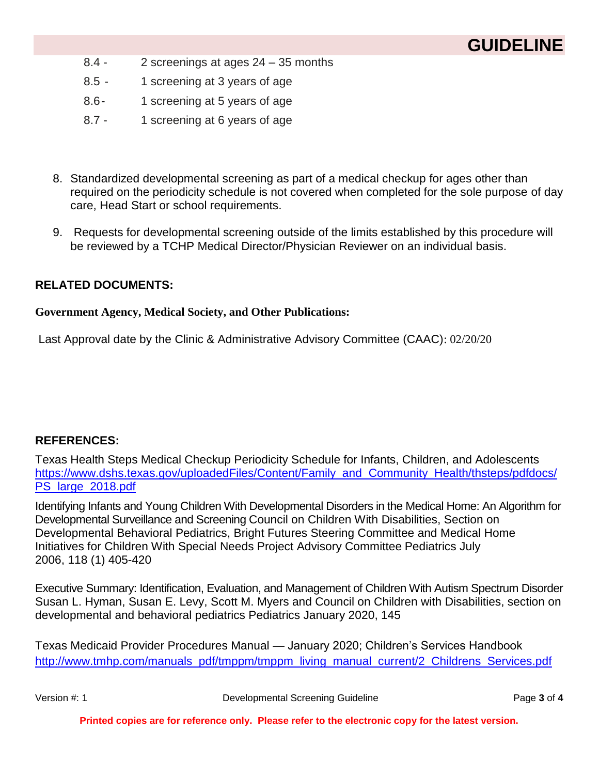# **GUIDELINE**

- 8.4 2 screenings at ages 24 35 months
- 8.5 1 screening at 3 years of age
- 8.6- 1 screening at 5 years of age
- 8.7 1 screening at 6 years of age
- 8. Standardized developmental screening as part of a medical checkup for ages other than required on the periodicity schedule is not covered when completed for the sole purpose of day care, Head Start or school requirements.
- 9. Requests for developmental screening outside of the limits established by this procedure will be reviewed by a TCHP Medical Director/Physician Reviewer on an individual basis.

### **RELATED DOCUMENTS:**

#### **Government Agency, Medical Society, and Other Publications:**

Last Approval date by the Clinic & Administrative Advisory Committee (CAAC): 02/20/20

### **REFERENCES:**

Texas Health Steps Medical Checkup Periodicity Schedule for Infants, Children, and Adolescents [https://www.dshs.texas.gov/uploadedFiles/Content/Family\\_and\\_Community\\_Health/thsteps/pdfdocs/](https://www.dshs.texas.gov/uploadedFiles/Content/Family_and_Community_Health/thsteps/pdfdocs/PS_large_2018.pdf) PS large 2018.pdf

Identifying Infants and Young Children With Developmental Disorders in the Medical Home: An Algorithm for Developmental Surveillance and Screening Council on Children With Disabilities, Section on Developmental Behavioral Pediatrics, Bright Futures Steering Committee and Medical Home Initiatives for Children With Special Needs Project Advisory Committee Pediatrics July 2006, 118 (1) 405-420

Executive Summary: Identification, Evaluation, and Management of Children With Autism Spectrum Disorder Susan L. Hyman, Susan E. Levy, Scott M. Myers and Council on Children with Disabilities, section on developmental and behavioral pediatrics Pediatrics January 2020, 145

Texas Medicaid Provider Procedures Manual — January 2020; Children's Services Handbook [http://www.tmhp.com/manuals\\_pdf/tmppm/tmppm\\_living\\_manual\\_current/2\\_Childrens\\_Services.pdf](http://www.tmhp.com/manuals_pdf/tmppm/tmppm_living_manual_current/2_Childrens_Services.pdf)

Version #: 1 Developmental Screening Guideline Page **3** of **4**